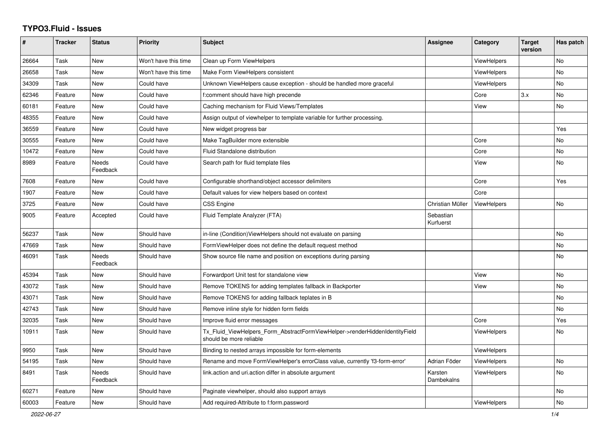## **TYPO3.Fluid - Issues**

| #     | <b>Tracker</b> | <b>Status</b>     | <b>Priority</b>      | <b>Subject</b>                                                                                         | Assignee               | Category           | <b>Target</b><br>version | Has patch |
|-------|----------------|-------------------|----------------------|--------------------------------------------------------------------------------------------------------|------------------------|--------------------|--------------------------|-----------|
| 26664 | Task           | New               | Won't have this time | Clean up Form ViewHelpers                                                                              |                        | <b>ViewHelpers</b> |                          | <b>No</b> |
| 26658 | Task           | New               | Won't have this time | Make Form ViewHelpers consistent                                                                       |                        | ViewHelpers        |                          | No        |
| 34309 | Task           | New               | Could have           | Unknown ViewHelpers cause exception - should be handled more graceful                                  |                        | <b>ViewHelpers</b> |                          | No        |
| 62346 | Feature        | New               | Could have           | f:comment should have high precende                                                                    |                        | Core               | 3.x                      | No        |
| 60181 | Feature        | <b>New</b>        | Could have           | Caching mechanism for Fluid Views/Templates                                                            |                        | View               |                          | <b>No</b> |
| 48355 | Feature        | New               | Could have           | Assign output of viewhelper to template variable for further processing.                               |                        |                    |                          |           |
| 36559 | Feature        | New               | Could have           | New widget progress bar                                                                                |                        |                    |                          | Yes       |
| 30555 | Feature        | New               | Could have           | Make TagBuilder more extensible                                                                        |                        | Core               |                          | No        |
| 10472 | Feature        | New               | Could have           | <b>Fluid Standalone distribution</b>                                                                   |                        | Core               |                          | <b>No</b> |
| 8989  | Feature        | Needs<br>Feedback | Could have           | Search path for fluid template files                                                                   |                        | View               |                          | No.       |
| 7608  | Feature        | New               | Could have           | Configurable shorthand/object accessor delimiters                                                      |                        | Core               |                          | Yes       |
| 1907  | Feature        | New               | Could have           | Default values for view helpers based on context                                                       |                        | Core               |                          |           |
| 3725  | Feature        | <b>New</b>        | Could have           | <b>CSS Engine</b>                                                                                      | Christian Müller       | ViewHelpers        |                          | <b>No</b> |
| 9005  | Feature        | Accepted          | Could have           | Fluid Template Analyzer (FTA)                                                                          | Sebastian<br>Kurfuerst |                    |                          |           |
| 56237 | Task           | New               | Should have          | in-line (Condition) View Helpers should not evaluate on parsing                                        |                        |                    |                          | <b>No</b> |
| 47669 | Task           | <b>New</b>        | Should have          | FormViewHelper does not define the default request method                                              |                        |                    |                          | <b>No</b> |
| 46091 | Task           | Needs<br>Feedback | Should have          | Show source file name and position on exceptions during parsing                                        |                        |                    |                          | No        |
| 45394 | Task           | New               | Should have          | Forwardport Unit test for standalone view                                                              |                        | View               |                          | <b>No</b> |
| 43072 | Task           | New               | Should have          | Remove TOKENS for adding templates fallback in Backporter                                              |                        | View               |                          | <b>No</b> |
| 43071 | Task           | New               | Should have          | Remove TOKENS for adding fallback teplates in B                                                        |                        |                    |                          | <b>No</b> |
| 42743 | Task           | New               | Should have          | Remove inline style for hidden form fields                                                             |                        |                    |                          | No        |
| 32035 | Task           | New               | Should have          | Improve fluid error messages                                                                           |                        | Core               |                          | Yes       |
| 10911 | Task           | <b>New</b>        | Should have          | Tx Fluid ViewHelpers Form AbstractFormViewHelper->renderHiddenIdentityField<br>should be more reliable |                        | <b>ViewHelpers</b> |                          | <b>No</b> |
| 9950  | Task           | New               | Should have          | Binding to nested arrays impossible for form-elements                                                  |                        | ViewHelpers        |                          |           |
| 54195 | Task           | New               | Should have          | Rename and move FormViewHelper's errorClass value, currently 'f3-form-error'                           | Adrian Föder           | <b>ViewHelpers</b> |                          | <b>No</b> |
| 8491  | Task           | Needs<br>Feedback | Should have          | link.action and uri.action differ in absolute argument                                                 | Karsten<br>Dambekalns  | ViewHelpers        |                          | <b>No</b> |
| 60271 | Feature        | New               | Should have          | Paginate viewhelper, should also support arrays                                                        |                        |                    |                          | No        |
| 60003 | Feature        | New               | Should have          | Add required-Attribute to f:form.password                                                              |                        | ViewHelpers        |                          | No        |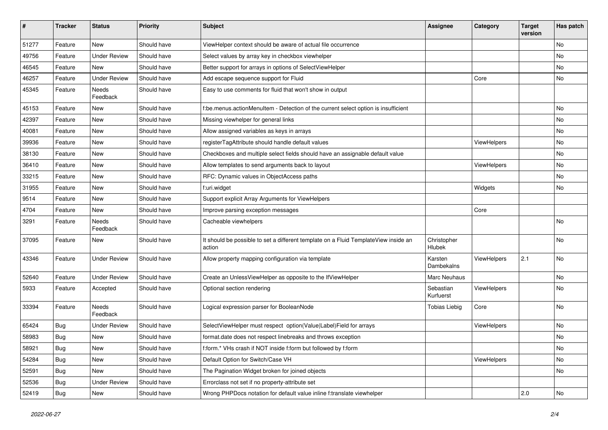| #     | <b>Tracker</b> | <b>Status</b>            | <b>Priority</b> | Subject                                                                                       | Assignee                     | Category    | <b>Target</b><br>version | Has patch |
|-------|----------------|--------------------------|-----------------|-----------------------------------------------------------------------------------------------|------------------------------|-------------|--------------------------|-----------|
| 51277 | Feature        | New                      | Should have     | ViewHelper context should be aware of actual file occurrence                                  |                              |             |                          | <b>No</b> |
| 49756 | Feature        | <b>Under Review</b>      | Should have     | Select values by array key in checkbox viewhelper                                             |                              |             |                          | No        |
| 46545 | Feature        | New                      | Should have     | Better support for arrays in options of SelectViewHelper                                      |                              |             |                          | No        |
| 46257 | Feature        | <b>Under Review</b>      | Should have     | Add escape sequence support for Fluid                                                         |                              | Core        |                          | No        |
| 45345 | Feature        | Needs<br>Feedback        | Should have     | Easy to use comments for fluid that won't show in output                                      |                              |             |                          |           |
| 45153 | Feature        | New                      | Should have     | f:be.menus.actionMenuItem - Detection of the current select option is insufficient            |                              |             |                          | No        |
| 42397 | Feature        | New                      | Should have     | Missing viewhelper for general links                                                          |                              |             |                          | No        |
| 40081 | Feature        | <b>New</b>               | Should have     | Allow assigned variables as keys in arrays                                                    |                              |             |                          | No        |
| 39936 | Feature        | New                      | Should have     | registerTagAttribute should handle default values                                             |                              | ViewHelpers |                          | No        |
| 38130 | Feature        | New                      | Should have     | Checkboxes and multiple select fields should have an assignable default value                 |                              |             |                          | No        |
| 36410 | Feature        | New                      | Should have     | Allow templates to send arguments back to layout                                              |                              | ViewHelpers |                          | No        |
| 33215 | Feature        | New                      | Should have     | RFC: Dynamic values in ObjectAccess paths                                                     |                              |             |                          | No        |
| 31955 | Feature        | New                      | Should have     | f:uri.widget                                                                                  |                              | Widgets     |                          | No        |
| 9514  | Feature        | New                      | Should have     | Support explicit Array Arguments for ViewHelpers                                              |                              |             |                          |           |
| 4704  | Feature        | New                      | Should have     | Improve parsing exception messages                                                            |                              | Core        |                          |           |
| 3291  | Feature        | <b>Needs</b><br>Feedback | Should have     | Cacheable viewhelpers                                                                         |                              |             |                          | <b>No</b> |
| 37095 | Feature        | New                      | Should have     | It should be possible to set a different template on a Fluid TemplateView inside an<br>action | Christopher<br>Hlubek        |             |                          | <b>No</b> |
| 43346 | Feature        | <b>Under Review</b>      | Should have     | Allow property mapping configuration via template                                             | Karsten<br><b>Dambekalns</b> | ViewHelpers | 2.1                      | <b>No</b> |
| 52640 | Feature        | <b>Under Review</b>      | Should have     | Create an UnlessViewHelper as opposite to the IfViewHelper                                    | Marc Neuhaus                 |             |                          | No        |
| 5933  | Feature        | Accepted                 | Should have     | Optional section rendering                                                                    | Sebastian<br>Kurfuerst       | ViewHelpers |                          | No        |
| 33394 | Feature        | <b>Needs</b><br>Feedback | Should have     | Logical expression parser for BooleanNode                                                     | <b>Tobias Liebig</b>         | Core        |                          | <b>No</b> |
| 65424 | Bug            | <b>Under Review</b>      | Should have     | SelectViewHelper must respect option(Value Label)Field for arrays                             |                              | ViewHelpers |                          | <b>No</b> |
| 58983 | <b>Bug</b>     | New                      | Should have     | format.date does not respect linebreaks and throws exception                                  |                              |             |                          | No        |
| 58921 | Bug            | New                      | Should have     | f:form.* VHs crash if NOT inside f:form but followed by f:form                                |                              |             |                          | No        |
| 54284 | Bug            | New                      | Should have     | Default Option for Switch/Case VH                                                             |                              | ViewHelpers |                          | No        |
| 52591 | Bug            | New                      | Should have     | The Pagination Widget broken for joined objects                                               |                              |             |                          | No        |
| 52536 | Bug            | <b>Under Review</b>      | Should have     | Errorclass not set if no property-attribute set                                               |                              |             |                          |           |
| 52419 | <b>Bug</b>     | New                      | Should have     | Wrong PHPDocs notation for default value inline f:translate viewhelper                        |                              |             | 2.0                      | No        |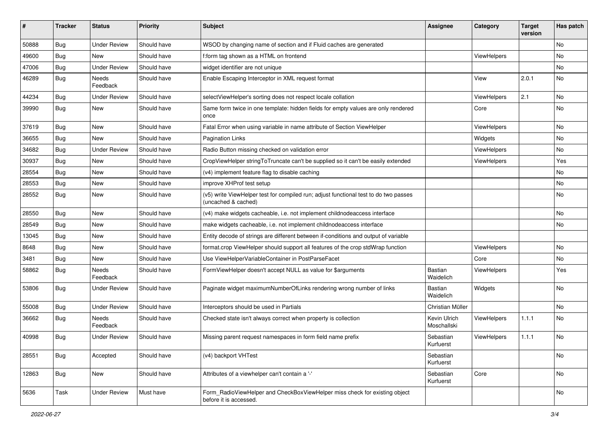| ∦     | <b>Tracker</b> | <b>Status</b>            | <b>Priority</b> | Subject                                                                                                     | <b>Assignee</b>             | Category    | <b>Target</b><br>version | Has patch |
|-------|----------------|--------------------------|-----------------|-------------------------------------------------------------------------------------------------------------|-----------------------------|-------------|--------------------------|-----------|
| 50888 | Bug            | <b>Under Review</b>      | Should have     | WSOD by changing name of section and if Fluid caches are generated                                          |                             |             |                          | <b>No</b> |
| 49600 | <b>Bug</b>     | New                      | Should have     | f:form tag shown as a HTML on frontend                                                                      |                             | ViewHelpers |                          | No        |
| 47006 | <b>Bug</b>     | <b>Under Review</b>      | Should have     | widget identifier are not unique                                                                            |                             |             |                          | No        |
| 46289 | Bug            | Needs<br>Feedback        | Should have     | Enable Escaping Interceptor in XML request format                                                           |                             | View        | 2.0.1                    | No        |
| 44234 | Bug            | <b>Under Review</b>      | Should have     | selectViewHelper's sorting does not respect locale collation                                                |                             | ViewHelpers | 2.1                      | No        |
| 39990 | Bug            | New                      | Should have     | Same form twice in one template: hidden fields for empty values are only rendered<br>once                   |                             | Core        |                          | No        |
| 37619 | Bug            | <b>New</b>               | Should have     | Fatal Error when using variable in name attribute of Section ViewHelper                                     |                             | ViewHelpers |                          | <b>No</b> |
| 36655 | <b>Bug</b>     | New                      | Should have     | <b>Pagination Links</b>                                                                                     |                             | Widgets     |                          | No        |
| 34682 | <b>Bug</b>     | <b>Under Review</b>      | Should have     | Radio Button missing checked on validation error                                                            |                             | ViewHelpers |                          | No        |
| 30937 | Bug            | New                      | Should have     | CropViewHelper stringToTruncate can't be supplied so it can't be easily extended                            |                             | ViewHelpers |                          | Yes       |
| 28554 | <b>Bug</b>     | New                      | Should have     | (v4) implement feature flag to disable caching                                                              |                             |             |                          | No        |
| 28553 | Bug            | New                      | Should have     | improve XHProf test setup                                                                                   |                             |             |                          | No        |
| 28552 | <b>Bug</b>     | New                      | Should have     | (v5) write ViewHelper test for compiled run; adjust functional test to do two passes<br>(uncached & cached) |                             |             |                          | No        |
| 28550 | Bug            | New                      | Should have     | (v4) make widgets cacheable, i.e. not implement childnodeaccess interface                                   |                             |             |                          | No        |
| 28549 | Bug            | New                      | Should have     | make widgets cacheable, i.e. not implement childnodeaccess interface                                        |                             |             |                          | No        |
| 13045 | <b>Bug</b>     | New                      | Should have     | Entity decode of strings are different between if-conditions and output of variable                         |                             |             |                          |           |
| 8648  | Bug            | New                      | Should have     | format.crop ViewHelper should support all features of the crop stdWrap function                             |                             | ViewHelpers |                          | <b>No</b> |
| 3481  | <b>Bug</b>     | New                      | Should have     | Use ViewHelperVariableContainer in PostParseFacet                                                           |                             | Core        |                          | No        |
| 58862 | <b>Bug</b>     | <b>Needs</b><br>Feedback | Should have     | FormViewHelper doesn't accept NULL as value for \$arguments                                                 | <b>Bastian</b><br>Waidelich | ViewHelpers |                          | Yes       |
| 53806 | Bug            | <b>Under Review</b>      | Should have     | Paginate widget maximumNumberOfLinks rendering wrong number of links                                        | Bastian<br>Waidelich        | Widgets     |                          | <b>No</b> |
| 55008 | Bug            | <b>Under Review</b>      | Should have     | Interceptors should be used in Partials                                                                     | Christian Müller            |             |                          | No        |
| 36662 | Bug            | Needs<br>Feedback        | Should have     | Checked state isn't always correct when property is collection                                              | Kevin Ulrich<br>Moschallski | ViewHelpers | 1.1.1                    | No        |
| 40998 | <b>Bug</b>     | <b>Under Review</b>      | Should have     | Missing parent request namespaces in form field name prefix                                                 | Sebastian<br>Kurfuerst      | ViewHelpers | 1.1.1                    | No        |
| 28551 | Bug            | Accepted                 | Should have     | (v4) backport VHTest                                                                                        | Sebastian<br>Kurfuerst      |             |                          | No        |
| 12863 | <b>Bug</b>     | New                      | Should have     | Attributes of a viewhelper can't contain a '-'                                                              | Sebastian<br>Kurfuerst      | Core        |                          | No        |
| 5636  | Task           | <b>Under Review</b>      | Must have       | Form RadioViewHelper and CheckBoxViewHelper miss check for existing object<br>before it is accessed.        |                             |             |                          | No        |